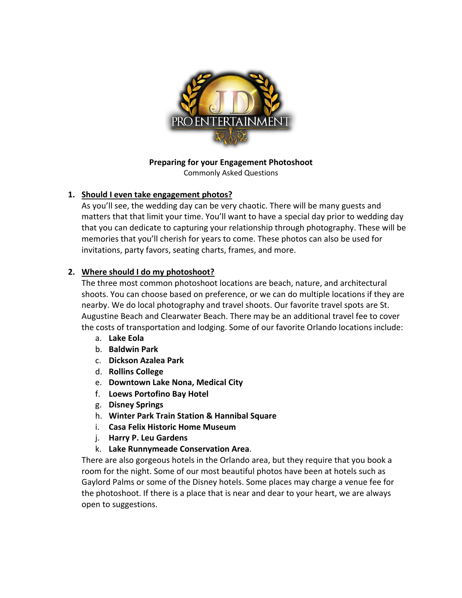

# **Preparing for your Engagement Photoshoot**

Commonly Asked Questions

# **1. Should I even take engagement photos?**

As you'll see, the wedding day can be very chaotic. There will be many guests and matters that that limit your time. You'll want to have a special day prior to wedding day that you can dedicate to capturing your relationship through photography. These will be memories that you'll cherish for years to come. These photos can also be used for invitations, party favors, seating charts, frames, and more.

# **2. Where should I do my photoshoot?**

The three most common photoshoot locations are beach, nature, and architectural shoots. You can choose based on preference, or we can do multiple locations if they are nearby. We do local photography and travel shoots. Our favorite travel spots are St. Augustine Beach and Clearwater Beach. There may be an additional travel fee to cover the costs of transportation and lodging. Some of our favorite Orlando locations include:

- a. **Lake Eola**
- b. **Baldwin Park**
- c. **Dickson Azalea Park**
- d. **Rollins College**
- e. **Downtown Lake Nona, Medical City**
- f. **Loews Portofino Bay Hotel**
- g. **Disney Springs**
- h. **Winter Park Train Station & Hannibal Square**
- i. **Casa Felix Historic Home Museum**
- j. **Harry P. Leu Gardens**
- k. **Lake Runnymeade Conservation Area**.

There are also gorgeous hotels in the Orlando area, but they require that you book a room for the night. Some of our most beautiful photos have been at hotels such as Gaylord Palms or some of the Disney hotels. Some places may charge a venue fee for the photoshoot. If there is a place that is near and dear to your heart, we are always open to suggestions.